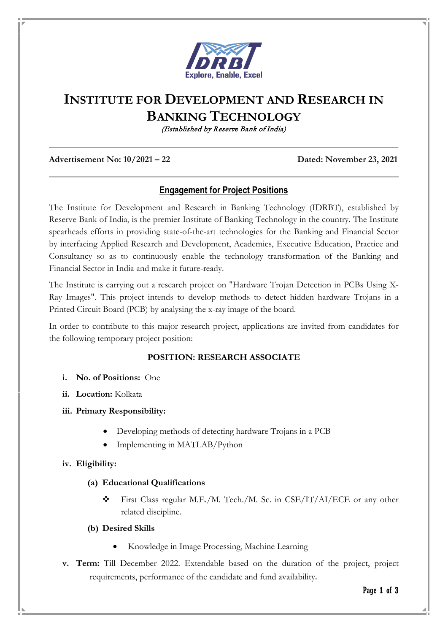

# **INSTITUTE FOR DEVELOPMENT AND RESEARCH IN BANKING TECHNOLOGY**

(Established by Reserve Bank of India)

#### **Advertisement No: 10/2021 – 22 Dated: November 23, 2021**

# **Engagement for Project Positions**

The Institute for Development and Research in Banking Technology (IDRBT), established by Reserve Bank of India, is the premier Institute of Banking Technology in the country. The Institute spearheads efforts in providing state-of-the-art technologies for the Banking and Financial Sector by interfacing Applied Research and Development, Academics, Executive Education, Practice and Consultancy so as to continuously enable the technology transformation of the Banking and Financial Sector in India and make it future-ready.

The Institute is carrying out a research project on "Hardware Trojan Detection in PCBs Using X-Ray Images". This project intends to develop methods to detect hidden hardware Trojans in a Printed Circuit Board (PCB) by analysing the x-ray image of the board.

In order to contribute to this major research project, applications are invited from candidates for the following temporary project position:

### **POSITION: RESEARCH ASSOCIATE**

- **i. No. of Positions:** One
- **ii. Location:** Kolkata
- **iii. Primary Responsibility:**
	- Developing methods of detecting hardware Trojans in a PCB
	- Implementing in MATLAB/Python

#### **iv. Eligibility:**

#### **(a) Educational Qualifications**

 First Class regular M.E./M. Tech./M. Sc. in CSE/IT/AI/ECE or any other related discipline.

#### **(b) Desired Skills**

- Knowledge in Image Processing, Machine Learning
- **v. Term:** Till December 2022. Extendable based on the duration of the project, project requirements, performance of the candidate and fund availability.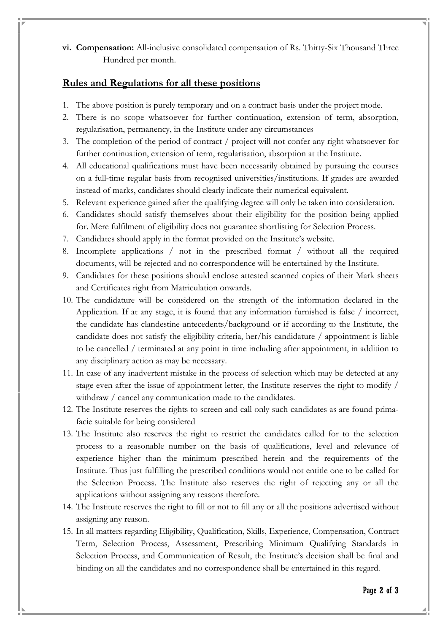**vi. Compensation:** All-inclusive consolidated compensation of Rs. Thirty-Six Thousand Three Hundred per month.

## **Rules and Regulations for all these positions**

- 1. The above position is purely temporary and on a contract basis under the project mode.
- 2. There is no scope whatsoever for further continuation, extension of term, absorption, regularisation, permanency, in the Institute under any circumstances
- 3. The completion of the period of contract / project will not confer any right whatsoever for further continuation, extension of term, regularisation, absorption at the Institute.
- 4. All educational qualifications must have been necessarily obtained by pursuing the courses on a full-time regular basis from recognised universities/institutions. If grades are awarded instead of marks, candidates should clearly indicate their numerical equivalent.
- 5. Relevant experience gained after the qualifying degree will only be taken into consideration.
- 6. Candidates should satisfy themselves about their eligibility for the position being applied for. Mere fulfilment of eligibility does not guarantee shortlisting for Selection Process.
- 7. Candidates should apply in the format provided on the Institute's website.
- 8. Incomplete applications / not in the prescribed format / without all the required documents, will be rejected and no correspondence will be entertained by the Institute.
- 9. Candidates for these positions should enclose attested scanned copies of their Mark sheets and Certificates right from Matriculation onwards.
- 10. The candidature will be considered on the strength of the information declared in the Application. If at any stage, it is found that any information furnished is false / incorrect, the candidate has clandestine antecedents/background or if according to the Institute, the candidate does not satisfy the eligibility criteria, her/his candidature / appointment is liable to be cancelled / terminated at any point in time including after appointment, in addition to any disciplinary action as may be necessary.
- 11. In case of any inadvertent mistake in the process of selection which may be detected at any stage even after the issue of appointment letter, the Institute reserves the right to modify / withdraw / cancel any communication made to the candidates.
- 12. The Institute reserves the rights to screen and call only such candidates as are found primafacie suitable for being considered
- 13. The Institute also reserves the right to restrict the candidates called for to the selection process to a reasonable number on the basis of qualifications, level and relevance of experience higher than the minimum prescribed herein and the requirements of the Institute. Thus just fulfilling the prescribed conditions would not entitle one to be called for the Selection Process. The Institute also reserves the right of rejecting any or all the applications without assigning any reasons therefore.
- 14. The Institute reserves the right to fill or not to fill any or all the positions advertised without assigning any reason.
- 15. In all matters regarding Eligibility, Qualification, Skills, Experience, Compensation, Contract Term, Selection Process, Assessment, Prescribing Minimum Qualifying Standards in Selection Process, and Communication of Result, the Institute's decision shall be final and binding on all the candidates and no correspondence shall be entertained in this regard.